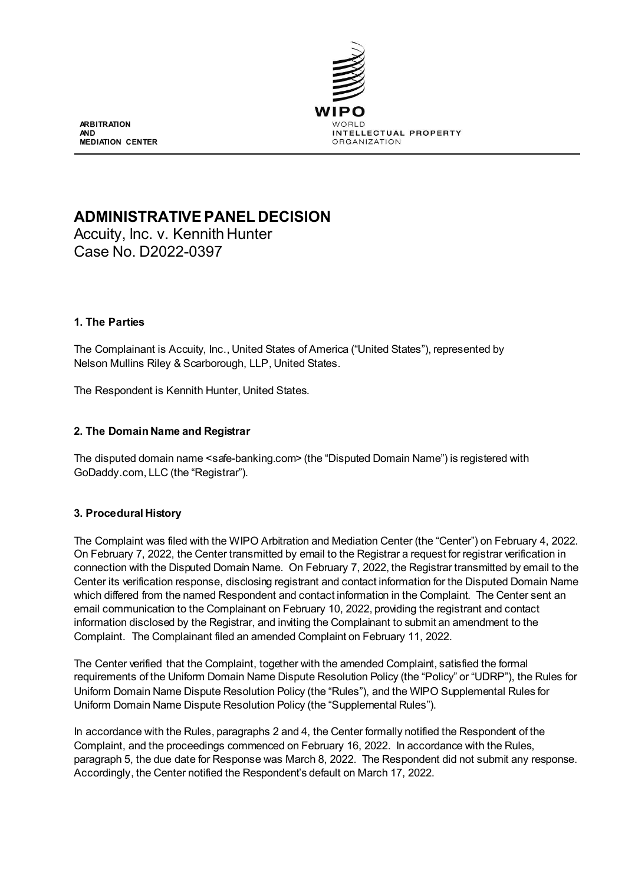

**ARBITRATION AND MEDIATION CENTER**

# **ADMINISTRATIVE PANEL DECISION**

Accuity, Inc. v. Kennith Hunter Case No. D2022-0397

# **1. The Parties**

The Complainant is Accuity, Inc., United States of America ("United States"), represented by Nelson Mullins Riley & Scarborough, LLP, United States.

The Respondent is Kennith Hunter, United States.

# **2. The Domain Name and Registrar**

The disputed domain name <safe-banking.com> (the "Disputed Domain Name") is registered with GoDaddy.com, LLC (the "Registrar").

# **3. Procedural History**

The Complaint was filed with the WIPO Arbitration and Mediation Center (the "Center") on February 4, 2022. On February 7, 2022, the Center transmitted by email to the Registrar a request for registrar verification in connection with the Disputed Domain Name. On February 7, 2022, the Registrar transmitted by email to the Center its verification response, disclosing registrant and contact information for the Disputed Domain Name which differed from the named Respondent and contact information in the Complaint. The Center sent an email communication to the Complainant on February 10, 2022, providing the registrant and contact information disclosed by the Registrar, and inviting the Complainant to submit an amendment to the Complaint. The Complainant filed an amended Complaint on February 11, 2022.

The Center verified that the Complaint, together with the amended Complaint, satisfied the formal requirements of the Uniform Domain Name Dispute Resolution Policy (the "Policy" or "UDRP"), the Rules for Uniform Domain Name Dispute Resolution Policy (the "Rules"), and the WIPO Supplemental Rules for Uniform Domain Name Dispute Resolution Policy (the "Supplemental Rules").

In accordance with the Rules, paragraphs 2 and 4, the Center formally notified the Respondent of the Complaint, and the proceedings commenced on February 16, 2022. In accordance with the Rules, paragraph 5, the due date for Response was March 8, 2022. The Respondent did not submit any response. Accordingly, the Center notified the Respondent's default on March 17, 2022.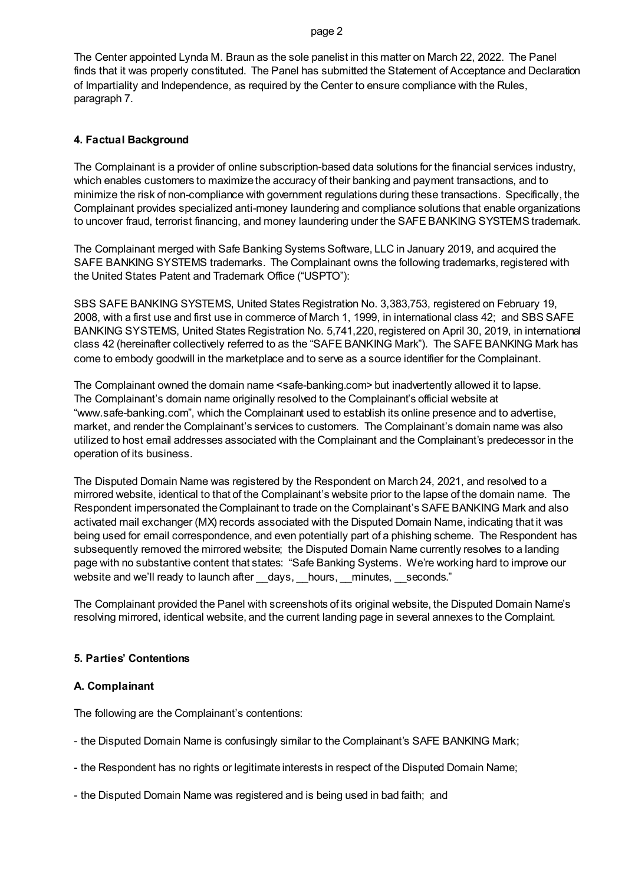#### page 2

The Center appointed Lynda M. Braun as the sole panelist in this matter on March 22, 2022. The Panel finds that it was properly constituted. The Panel has submitted the Statement of Acceptance and Declaration of Impartiality and Independence, as required by the Center to ensure compliance with the Rules, paragraph 7.

### **4. Factual Background**

The Complainant is a provider of online subscription-based data solutions for the financial services industry, which enables customers to maximize the accuracy of their banking and payment transactions, and to minimize the risk of non-compliance with government regulations during these transactions. Specifically, the Complainant provides specialized anti-money laundering and compliance solutions that enable organizations to uncover fraud, terrorist financing, and money laundering under the SAFE BANKING SYSTEMS trademark.

The Complainant merged with Safe Banking Systems Software, LLC in January 2019, and acquired the SAFE BANKING SYSTEMS trademarks. The Complainant owns the following trademarks, registered with the United States Patent and Trademark Office ("USPTO"):

SBS SAFE BANKING SYSTEMS, United States Registration No. 3,383,753, registered on February 19, 2008, with a first use and first use in commerce of March 1, 1999, in international class 42; and SBS SAFE BANKING SYSTEMS, United States Registration No. 5,741,220, registered on April 30, 2019, in international class 42 (hereinafter collectively referred to as the "SAFE BANKING Mark"). The SAFE BANKING Mark has come to embody goodwill in the marketplace and to serve as a source identifier for the Complainant.

The Complainant owned the domain name <safe-banking.com> but inadvertently allowed it to lapse. The Complainant's domain name originally resolved to the Complainant's official website at "www.safe-banking.com", which the Complainant used to establish its online presence and to advertise, market, and render the Complainant's services to customers. The Complainant's domain name was also utilized to host email addresses associated with the Complainant and the Complainant's predecessor in the operation of its business.

The Disputed Domain Name was registered by the Respondent on March 24, 2021, and resolved to a mirrored website, identical to that of the Complainant's website prior to the lapse of the domain name. The Respondent impersonated the Complainant to trade on the Complainant's SAFE BANKING Mark and also activated mail exchanger (MX) records associated with the Disputed Domain Name, indicating that it was being used for email correspondence, and even potentially part of a phishing scheme. The Respondent has subsequently removed the mirrored website; the Disputed Domain Name currently resolves to a landing page with no substantive content that states: "Safe Banking Systems. We're working hard to improve our website and we'll ready to launch after days, hours, minutes, seconds."

The Complainant provided the Panel with screenshots of its original website, the Disputed Domain Name's resolving mirrored, identical website, and the current landing page in several annexes to the Complaint.

# **5. Parties' Contentions**

#### **A. Complainant**

The following are the Complainant's contentions:

- the Disputed Domain Name is confusingly similar to the Complainant's SAFE BANKING Mark;
- the Respondent has no rights or legitimate interests in respect of the Disputed Domain Name;
- the Disputed Domain Name was registered and is being used in bad faith; and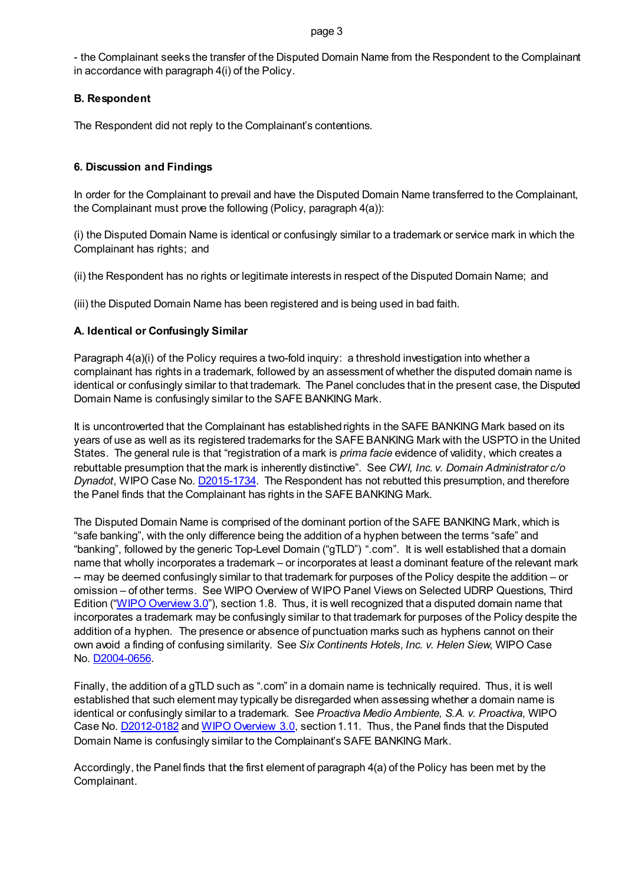- the Complainant seeks the transfer of the Disputed Domain Name from the Respondent to the Complainant in accordance with paragraph 4(i) of the Policy.

# **B. Respondent**

The Respondent did not reply to the Complainant's contentions.

# **6. Discussion and Findings**

In order for the Complainant to prevail and have the Disputed Domain Name transferred to the Complainant, the Complainant must prove the following (Policy, paragraph 4(a)):

(i) the Disputed Domain Name is identical or confusingly similar to a trademark or service mark in which the Complainant has rights; and

(ii) the Respondent has no rights or legitimate interests in respect of the Disputed Domain Name; and

(iii) the Disputed Domain Name has been registered and is being used in bad faith.

# **A. Identical or Confusingly Similar**

Paragraph  $4(a)(i)$  of the Policy requires a two-fold inquiry: a threshold investigation into whether a complainant has rights in a trademark, followed by an assessment of whether the disputed domain name is identical or confusingly similar to that trademark. The Panel concludes that in the present case, the Disputed Domain Name is confusingly similar to the SAFE BANKING Mark.

It is uncontroverted that the Complainant has established rights in the SAFE BANKING Mark based on its years of use as well as its registered trademarks for the SAFE BANKING Mark with the USPTO in the United States. The general rule is that "registration of a mark is *prima facie* evidence of validity, which creates a rebuttable presumption that the mark is inherently distinctive". See *CWI, Inc. v. Domain Administrator c/o Dynadot*, WIPO Case No. **D2015-1734**. The Respondent has not rebutted this presumption, and therefore the Panel finds that the Complainant has rights in the SAFE BANKING Mark.

The Disputed Domain Name is comprised of the dominant portion of the SAFE BANKING Mark, which is "safe banking", with the only difference being the addition of a hyphen between the terms "safe" and "banking", followed by the generic Top-Level Domain ("gTLD") ".com". It is well established that a domain name that wholly incorporates a trademark – or incorporates at least a dominant feature of the relevant mark -- may be deemed confusingly similar to that trademark for purposes of the Policy despite the addition – or omission – of other terms. See WIPO Overview of WIPO Panel Views on Selected UDRP Questions, Third Edition [\("WIPO Overview 3.0"](https://www.wipo.int/amc/en/domains/search/overview3.0/)), section 1.8. Thus, it is well recognized that a disputed domain name that incorporates a trademark may be confusingly similar to that trademark for purposes of the Policy despite the addition of a hyphen. The presence or absence of punctuation marks such as hyphens cannot on their own avoid a finding of confusing similarity. See *Six Continents Hotels, Inc. v. Helen Siew*, WIPO Case No. [D2004-0656.](https://www.wipo.int/amc/en/domains/decisions/html/2004/d2004-0656.html)

Finally, the addition of a gTLD such as ".com" in a domain name is technically required. Thus, it is well established that such element may typically be disregarded when assessing whether a domain name is identical or confusingly similar to a trademark. See *Proactiva Medio Ambiente, S.A. v. Proactiva*, WIPO Case No. [D2012-0182](https://www.wipo.int/amc/en/domains/search/text.jsp?case=D2012-0182) and [WIPO Overview 3.0,](https://www.wipo.int/amc/en/domains/search/overview3.0/) section 1.11. Thus, the Panel finds that the Disputed Domain Name is confusingly similar to the Complainant's SAFE BANKING Mark.

Accordingly, the Panel finds that the first element of paragraph 4(a) of the Policy has been met by the Complainant.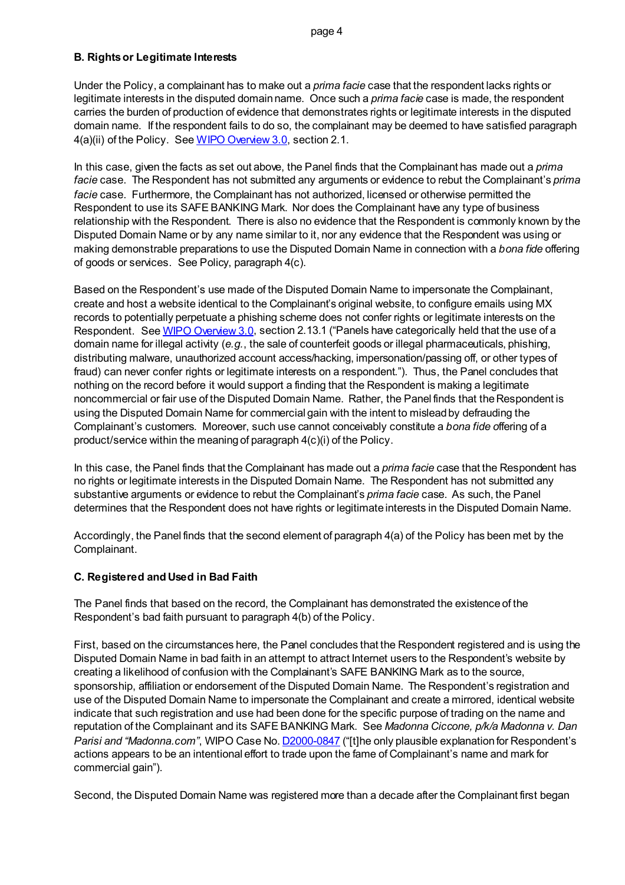# **B. Rights or Legitimate Interests**

Under the Policy, a complainant has to make out a *prima facie* case that the respondent lacks rights or legitimate interests in the disputed domain name. Once such a *prima facie* case is made, the respondent carries the burden of production of evidence that demonstrates rights or legitimate interests in the disputed domain name. If the respondent fails to do so, the complainant may be deemed to have satisfied paragraph 4(a)(ii) of the Policy. Se[e WIPO Overview 3.0,](https://www.wipo.int/amc/en/domains/search/overview3.0/) section 2.1.

In this case, given the facts as set out above, the Panel finds that the Complainant has made out a *prima facie* case. The Respondent has not submitted any arguments or evidence to rebut the Complainant's *prima facie* case. Furthermore, the Complainant has not authorized, licensed or otherwise permitted the Respondent to use its SAFE BANKING Mark. Nor does the Complainant have any type of business relationship with the Respondent. There is also no evidence that the Respondent is commonly known by the Disputed Domain Name or by any name similar to it, nor any evidence that the Respondent was using or making demonstrable preparations to use the Disputed Domain Name in connection with a *bona fide* offering of goods or services. See Policy, paragraph 4(c).

Based on the Respondent's use made of the Disputed Domain Name to impersonate the Complainant, create and host a website identical to the Complainant's original website, to configure emails using MX records to potentially perpetuate a phishing scheme does not confer rights or legitimate interests on the Respondent. Se[e WIPO Overview 3.0,](https://www.wipo.int/amc/en/domains/search/overview3.0/) section 2.13.1 ("Panels have categorically held that the use of a domain name for illegal activity (*e.g.*, the sale of counterfeit goods or illegal pharmaceuticals, phishing, distributing malware, unauthorized account access/hacking, impersonation/passing off, or other types of fraud) can never confer rights or legitimate interests on a respondent."). Thus, the Panel concludes that nothing on the record before it would support a finding that the Respondent is making a legitimate noncommercial or fair use of the Disputed Domain Name. Rather, the Panel finds that the Respondent is using the Disputed Domain Name for commercial gain with the intent to mislead by defrauding the Complainant's customers. Moreover, such use cannot conceivably constitute a *bona fide o*ffering of a product/service within the meaning of paragraph 4(c)(i) of the Policy.

In this case, the Panel finds that the Complainant has made out a *prima facie* case that the Respondent has no rights or legitimate interests in the Disputed Domain Name. The Respondent has not submitted any substantive arguments or evidence to rebut the Complainant's *prima facie* case. As such, the Panel determines that the Respondent does not have rights or legitimate interests in the Disputed Domain Name.

Accordingly, the Panel finds that the second element of paragraph 4(a) of the Policy has been met by the Complainant.

# **C. Registered and Used in Bad Faith**

The Panel finds that based on the record, the Complainant has demonstrated the existence of the Respondent's bad faith pursuant to paragraph 4(b) of the Policy.

First, based on the circumstances here, the Panel concludes that the Respondent registered and is using the Disputed Domain Name in bad faith in an attempt to attract Internet users to the Respondent's website by creating a likelihood of confusion with the Complainant's SAFE BANKING Mark as to the source, sponsorship, affiliation or endorsement of the Disputed Domain Name. The Respondent's registration and use of the Disputed Domain Name to impersonate the Complainant and create a mirrored, identical website indicate that such registration and use had been done for the specific purpose of trading on the name and reputation of the Complainant and its SAFE BANKING Mark. See *Madonna Ciccone, p/k/a Madonna v. Dan Parisi and "Madonna.com"*, WIPO Case No. **D2000-0847** ("[t]he only plausible explanation for Respondent's actions appears to be an intentional effort to trade upon the fame of Complainant's name and mark for commercial gain").

Second, the Disputed Domain Name was registered more than a decade after the Complainant first began